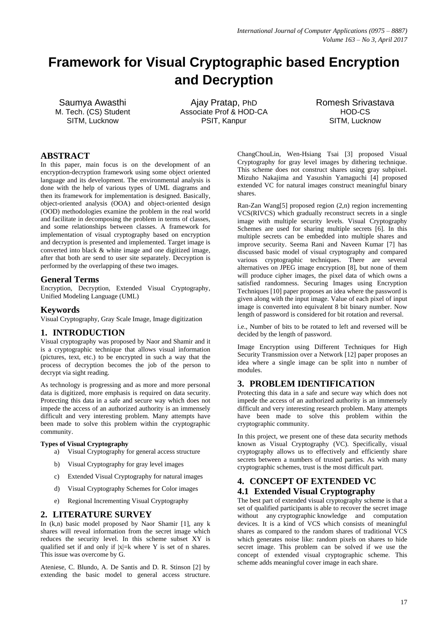# **Framework for Visual Cryptographic based Encryption and Decryption**

Saumya Awasthi M. Tech. (CS) Student SITM, Lucknow

Ajay Pratap, PhD Associate Prof & HOD-CA PSIT, Kanpur

Romesh Srivastava HOD-CS SITM, Lucknow

## **ABSTRACT**

In this paper, main focus is on the development of an encryption-decryption framework using some object oriented language and its development. The environmental analysis is done with the help of various types of UML diagrams and then its framework for implementation is designed. Basically, object-oriented analysis (OOA) and object-oriented design (OOD) methodologies examine the problem in the real world and facilitate in decomposing the problem in terms of classes, and some relationships between classes. A framework for implementation of visual cryptography based on encryption and decryption is presented and implemented. Target image is converted into black & white image and one digitized image, after that both are send to user site separately. Decryption is performed by the overlapping of these two images.

## **General Terms**

Encryption, Decryption, Extended Visual Cryptography, Unified Modeling Language (UML)

# **Keywords**

Visual Cryptography, Gray Scale Image, Image digitization

## **1. INTRODUCTION**

Visual cryptography was proposed by Naor and Shamir and it is a cryptographic technique that allows visual information (pictures, text, etc.) to be encrypted in such a way that the process of decryption becomes the job of the person to decrypt via sight reading.

As technology is progressing and as more and more personal data is digitized, more emphasis is required on data security. Protecting this data in a safe and secure way which does not impede the access of an authorized authority is an immensely difficult and very interesting problem. Many attempts have been made to solve this problem within the cryptographic community.

#### **Types of Visual Cryptography**

- a) Visual Cryptography for general access structure
- b) Visual Cryptography for gray level images
- c) Extended Visual Cryptography for natural images
- d) Visual Cryptography Schemes for Color images
- e) Regional Incrementing Visual Cryptography

# **2. LITERATURE SURVEY**

In (k,n) basic model proposed by Naor Shamir [1], any k shares will reveal information from the secret image which reduces the security level. In this scheme subset XY is qualified set if and only if  $|x|=k$  where Y is set of n shares. This issue was overcome by G.

Ateniese, C. Blundo, A. De Santis and D. R. Stinson [2] by extending the basic model to general access structure. ChangChouLin, Wen-Hsiang Tsai [3] proposed Visual Cryptography for gray level images by dithering technique. This scheme does not construct shares using gray subpixel. Mizuho Nakajima and Yasushin Yamaguchi [4] proposed extended VC for natural images construct meaningful binary shares.

Ran-Zan Wang[5] proposed region (2,n) region incrementing VCS(RIVCS) which gradually reconstruct secrets in a single image with multiple security levels. Visual Cryptography Schemes are used for sharing multiple secrets [6]. In this multiple secrets can be embedded into multiple shares and improve security. Seema Rani and Naveen Kumar [7] has discussed basic model of visual cryptography and compared various cryptographic techniques. There are several alternatives on JPEG image encryption [8], but none of them will produce cipher images, the pixel data of which owns a satisfied randomness. Securing Images using Encryption Techniques [10] paper proposes an idea where the password is given along with the input image. Value of each pixel of input image is converted into equivalent 8 bit binary number. Now length of password is considered for bit rotation and reversal.

i.e., Number of bits to be rotated to left and reversed will be decided by the length of password.

Image Encryption using Different Techniques for High Security Transmission over a Network [12] paper proposes an idea where a single image can be split into n number of modules.

## **3. PROBLEM IDENTIFICATION**

Protecting this data in a safe and secure way which does not impede the access of an authorized authority is an immensely difficult and very interesting research problem. Many attempts have been made to solve this problem within the cryptographic community.

In this project, we present one of these data security methods known as Visual Cryptography (VC). Specifically, visual cryptography allows us to effectively and efficiently share secrets between a numbers of trusted parties. As with many cryptographic schemes, trust is the most difficult part.

# **4. CONCEPT OF EXTENDED VC 4.1 Extended Visual Cryptography**

The best part of extended visual cryptography scheme is that a set of qualified participants is able to recover the secret image without any cryptographic knowledge and computation devices. It is a kind of VCS which consists of meaningful shares as compared to the random shares of traditional VCS which generates noise like: random pixels on shares to hide secret image. This problem can be solved if we use the concept of extended visual cryptographic scheme. This scheme adds meaningful cover image in each share.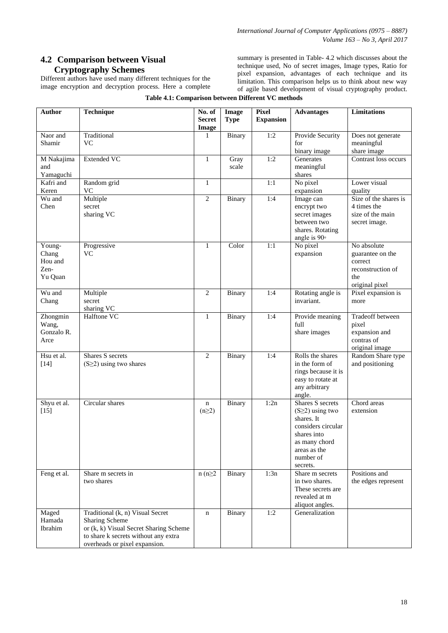# **4.2 Comparison between Visual Cryptography Schemes**

Different authors have used many different techniques for the image encryption and decryption process. Here a complete summary is presented in Table- 4.2 which discusses about the technique used, No of secret images, Image types, Ratio for pixel expansion, advantages of each technique and its limitation. This comparison helps us to think about new way of agile based development of visual cryptography product.

| <b>Author</b>                                 | <b>Technique</b>                                                                                                                                                      | No. of<br><b>Secret</b><br>Image | Image<br><b>Type</b> | <b>Pixel</b><br><b>Expansion</b> | <b>Advantages</b>                                                                                                                                       | <b>Limitations</b>                                                                       |
|-----------------------------------------------|-----------------------------------------------------------------------------------------------------------------------------------------------------------------------|----------------------------------|----------------------|----------------------------------|---------------------------------------------------------------------------------------------------------------------------------------------------------|------------------------------------------------------------------------------------------|
| Naor and<br>Shamir                            | Traditional<br><b>VC</b>                                                                                                                                              | 1                                | Binary               | 1:2                              | Provide Security<br>for<br>binary image                                                                                                                 | Does not generate<br>meaningful<br>share image                                           |
| M Nakajima<br>and<br>Yamaguchi                | <b>Extended VC</b>                                                                                                                                                    | $\mathbf{1}$                     | Gray<br>scale        | 1:2                              | Generates<br>meaningful<br>shares                                                                                                                       | Contrast loss occurs                                                                     |
| Kafri and<br>Keren                            | Random grid<br><b>VC</b>                                                                                                                                              | $\mathbf{1}$                     |                      | 1:1                              | No pixel<br>expansion                                                                                                                                   | Lower visual<br>quality                                                                  |
| Wu and<br>Chen                                | Multiple<br>secret<br>sharing VC                                                                                                                                      | $\overline{2}$                   | Binary               | 1:4                              | Image can<br>encrypt two<br>secret images<br>between two<br>shares. Rotating<br>angle is $90^\circ$                                                     | Size of the shares is<br>4 times the<br>size of the main<br>secret image.                |
| Young-<br>Chang<br>Hou and<br>Zen-<br>Yu Quan | Progressive<br><b>VC</b>                                                                                                                                              | $\mathbf{1}$                     | Color                | 1:1                              | No pixel<br>expansion                                                                                                                                   | No absolute<br>guarantee on the<br>correct<br>reconstruction of<br>the<br>original pixel |
| Wu and<br>Chang                               | Multiple<br>secret<br>sharing VC                                                                                                                                      | $\overline{2}$                   | Binary               | 1:4                              | Rotating angle is<br>invariant.                                                                                                                         | Pixel expansion is<br>more                                                               |
| Zhongmin<br>Wang,<br>Gonzalo R.<br>Arce       | Halftone VC                                                                                                                                                           | $\mathbf{1}$                     | Binary               | 1:4                              | Provide meaning<br>full<br>share images                                                                                                                 | Tradeoff between<br>pixel<br>expansion and<br>contras of<br>original image               |
| Hsu et al.<br>$[14]$                          | Shares S secrets<br>$(S \geq 2)$ using two shares                                                                                                                     | $\mathbf{2}$                     | Binary               | 1:4                              | Rolls the shares<br>in the form of<br>rings because it is<br>easy to rotate at<br>any arbitrary<br>angle.                                               | Random Share type<br>and positioning                                                     |
| Shyu et al.<br>$[15]$                         | Circular shares                                                                                                                                                       | n<br>$(n\geq 2)$                 | Binary               | 1:2n                             | Shares S secrets<br>$(S \geq 2)$ using two<br>shares. It<br>considers circular<br>shares into<br>as many chord<br>areas as the<br>number of<br>secrets. | Chord areas<br>extension                                                                 |
| Feng et al.                                   | Share m secrets in<br>two shares                                                                                                                                      | $n(n \geq 2)$                    | Binary               | 1:3n                             | Share m secrets<br>in two shares.<br>These secrets are<br>revealed at m<br>aliquot angles.                                                              | Positions and<br>the edges represent                                                     |
| Maged<br>Hamada<br>Ibrahim                    | Traditional (k, n) Visual Secret<br>Sharing Scheme<br>or (k, k) Visual Secret Sharing Scheme<br>to share k secrets without any extra<br>overheads or pixel expansion. | $\mathbf n$                      | Binary               | 1:2                              | Generalization                                                                                                                                          |                                                                                          |

#### **Table 4.1: Comparison between Different VC methods**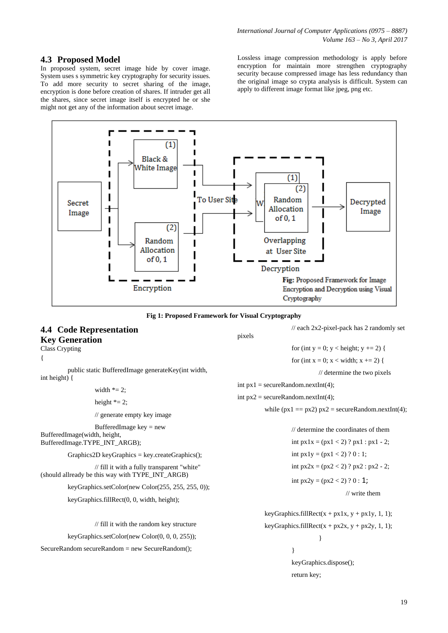### **4.3 Proposed Model**

In proposed system, secret image hide by cover image. System uses s symmetric key cryptography for security issues. To add more security to secret sharing of the image, encryption is done before creation of shares. If intruder get all the shares, since secret image itself is encrypted he or she might not get any of the information about secret image.

Lossless image compression methodology is apply before encryption for maintain more strengthen cryptography security because compressed image has less redundancy than the original image so crypta analysis is difficult. System can apply to different image format like jpeg, png etc.

// each 2x2-pixel-pack has 2 randomly set

return key;





# **4.4 Code Representation Key Generation**

pixels

| Class Crypting                                                                                   | for (int $y = 0$ ; $y <$ height; $y += 2$ ) {                                                             |  |  |  |
|--------------------------------------------------------------------------------------------------|-----------------------------------------------------------------------------------------------------------|--|--|--|
| €                                                                                                | for (int x = 0; x < width; x += 2) {                                                                      |  |  |  |
| public static BufferedImage generateKey(int width,<br>int height) $\{$                           | $\frac{1}{2}$ determine the two pixels                                                                    |  |  |  |
| width $* = 2$ ;                                                                                  | int $px1 = \text{secureRandom.nextInt}(4);$<br>int $px2 = \text{secureRandom.nextInt}(4);$                |  |  |  |
| height $* = 2$ ;                                                                                 |                                                                                                           |  |  |  |
| // generate empty key image                                                                      | while $(px1 == px2) px2 = secureRandom.nextInt(4);$                                                       |  |  |  |
| BufferedImage key $=$ new<br>BufferedImage(width, height,                                        | $\frac{1}{2}$ determine the coordinates of them                                                           |  |  |  |
| BufferedImage.TYPE_INT_ARGB);                                                                    | int $px1x = (px1 < 2)$ ? $px1 : px1 - 2$ ;                                                                |  |  |  |
| $Graphics2D keyGraphics = key.createGraphics();$                                                 | int $px1y = (px1 < 2) ? 0 : 1;$                                                                           |  |  |  |
| // fill it with a fully transparent "white"<br>(should allready be this way with TYPE INT ARGB)  | int $px2x = (px2 < 2)$ ? $px2 : px2 - 2$ ;<br>int $px2y = (px2 < 2)$ ? 0 : 1;<br>$\frac{1}{2}$ write them |  |  |  |
|                                                                                                  |                                                                                                           |  |  |  |
| keyGraphics.setColor(new Color(255, 255, 255, 0));<br>keyGraphics.fillRect(0, 0, width, height); |                                                                                                           |  |  |  |
|                                                                                                  | keyGraphics.fillRect(x + px1x, y + px1y, 1, 1);                                                           |  |  |  |
| // fill it with the random key structure                                                         | keyGraphics.fillRect(x + px2x, y + px2y, 1, 1);                                                           |  |  |  |
| keyGraphics.setColor(new Color(0, 0, 0, 255));                                                   |                                                                                                           |  |  |  |
| SecureRandom secureRandom = new SecureRandom();                                                  |                                                                                                           |  |  |  |
|                                                                                                  | keyGraphics.dispose();                                                                                    |  |  |  |